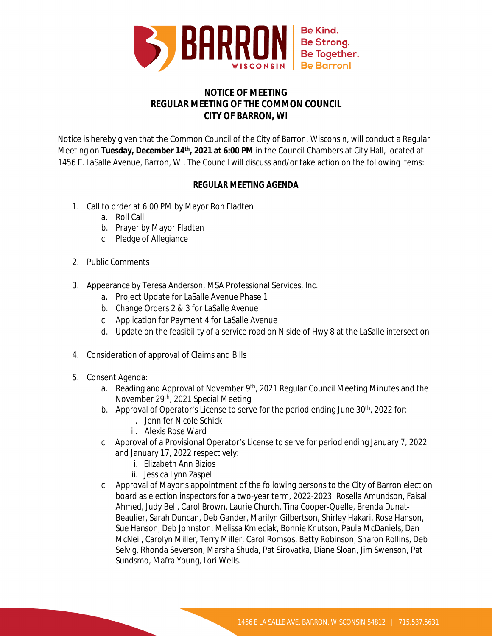

## **NOTICE OF MEETING REGULAR MEETING OF THE COMMON COUNCIL CITY OF BARRON, WI**

Notice is hereby given that the Common Council of the City of Barron, Wisconsin, will conduct a Regular Meeting on **Tuesday, December 14th, 2021 at 6:00 PM** in the Council Chambers at City Hall, located at 1456 E. LaSalle Avenue, Barron, WI. The Council will discuss and/or take action on the following items:

## **REGULAR MEETING AGENDA**

- 1. Call to order at 6:00 PM by Mayor Ron Fladten
	- a. Roll Call
	- b. Prayer by Mayor Fladten
	- c. Pledge of Allegiance
- 2. Public Comments
- 3. Appearance by Teresa Anderson, MSA Professional Services, Inc.
	- a. Project Update for LaSalle Avenue Phase 1
	- b. Change Orders 2 & 3 for LaSalle Avenue
	- c. Application for Payment 4 for LaSalle Avenue
	- d. Update on the feasibility of a service road on N side of Hwy 8 at the LaSalle intersection
- 4. Consideration of approval of Claims and Bills
- 5. Consent Agenda:
	- a. Reading and Approval of November 9<sup>th</sup>, 2021 Regular Council Meeting Minutes and the November 29th, 2021 Special Meeting
	- b. Approval of Operator's License to serve for the period ending June 30<sup>th</sup>, 2022 for:
		- i. Jennifer Nicole Schick
		- ii. Alexis Rose Ward
	- c. Approval of a Provisional Operator's License to serve for period ending January 7, 2022 and January 17, 2022 respectively:
		- i. Elizabeth Ann Bizios
		- ii. Jessica Lynn Zaspel
	- c. Approval of Mayor's appointment of the following persons to the City of Barron election board as election inspectors for a two-year term, 2022-2023: Rosella Amundson, Faisal Ahmed, Judy Bell, Carol Brown, Laurie Church, Tina Cooper-Quelle, Brenda Dunat-Beaulier, Sarah Duncan, Deb Gander, Marilyn Gilbertson, Shirley Hakari, Rose Hanson, Sue Hanson, Deb Johnston, Melissa Kmieciak, Bonnie Knutson, Paula McDaniels, Dan McNeil, Carolyn Miller, Terry Miller, Carol Romsos, Betty Robinson, Sharon Rollins, Deb Selvig, Rhonda Severson, Marsha Shuda, Pat Sirovatka, Diane Sloan, Jim Swenson, Pat Sundsmo, Mafra Young, Lori Wells.